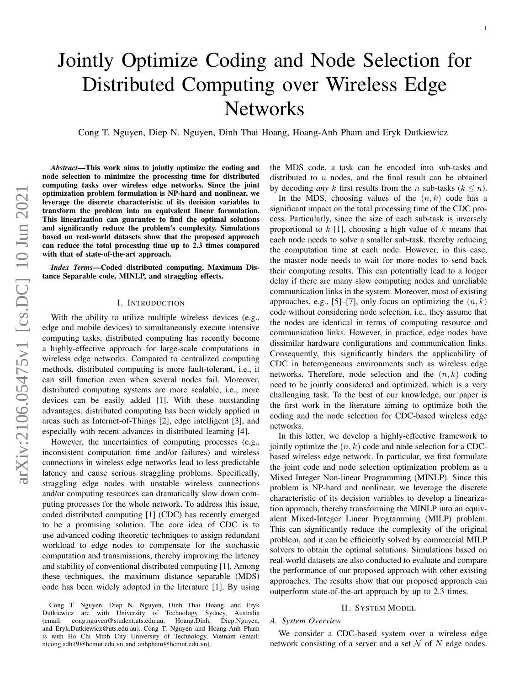# Jointly Optimize Coding and Node Selection for Distributed Computing over Wireless Edge Networks

Cong T. Nguyen, Diep N. Nguyen, Dinh Thai Hoang, Hoang-Anh Pham and Eryk Dutkiewicz

*Abstract*—This work aims to jointly optimize the coding and node selection to minimize the processing time for distributed computing tasks over wireless edge networks. Since the joint optimization problem formulation is NP-hard and nonlinear, we leverage the discrete characteristic of its decision variables to transform the problem into an equivalent linear formulation. This linearization can guarantee to find the optimal solutions and significantly reduce the problem's complexity. Simulations based on real-world datasets show that the proposed approach can reduce the total processing time up to 2.3 times compared with that of state-of-the-art approach.

*Index Terms*—Coded distributed computing, Maximum Distance Separable code, MINLP, and straggling effects.

### I. INTRODUCTION

With the ability to utilize multiple wireless devices (e.g., edge and mobile devices) to simultaneously execute intensive computing tasks, distributed computing has recently become a highly-effective approach for large-scale computations in wireless edge networks. Compared to centralized computing methods, distributed computing is more fault-tolerant, i.e., it can still function even when several nodes fail. Moreover, distributed computing systems are more scalable, i.e., more devices can be easily added [\[1\]](#page-3-0). With these outstanding advantages, distributed computing has been widely applied in areas such as Internet-of-Things [\[2\]](#page-3-1), edge intelligent [\[3\]](#page-3-2), and especially with recent advances in distributed learning [\[4\]](#page-3-3).

However, the uncertainties of computing processes (e.g., inconsistent computation time and/or failures) and wireless connections in wireless edge networks lead to less predictable latency and cause serious straggling problems. Specifically, straggling edge nodes with unstable wireless connections and/or computing resources can dramatically slow down computing processes for the whole network. To address this issue, coded distributed computing [\[1\]](#page-3-0) (CDC) has recently emerged to be a promising solution. The core idea of CDC is to use advanced coding theoretic techniques to assign redundant workload to edge nodes to compensate for the stochastic computation and transmissions, thereby improving the latency and stability of conventional distributed computing [\[1\]](#page-3-0). Among these techniques, the maximum distance separable (MDS) code has been widely adopted in the literature [\[1\]](#page-3-0). By using the MDS code, a task can be encoded into sub-tasks and distributed to  $n$  nodes, and the final result can be obtained by decoding *any* k first results from the n sub-tasks  $(k \le n)$ .

In the MDS, choosing values of the  $(n, k)$  code has a significant impact on the total processing time of the CDC process. Particularly, since the size of each sub-task is inversely proportional to  $k$  [\[1\]](#page-3-0), choosing a high value of  $k$  means that each node needs to solve a smaller sub-task, thereby reducing the computation time at each node. However, in this case, the master node needs to wait for more nodes to send back their computing results. This can potentially lead to a longer delay if there are many slow computing nodes and unreliable communication links in the system. Moreover, most of existing approaches, e.g., [\[5\]](#page-3-4)–[\[7\]](#page-3-5), only focus on optimizing the  $(n, k)$ code without considering node selection, i.e., they assume that the nodes are identical in terms of computing resource and communication links. However, in practice, edge nodes have dissimilar hardware configurations and communication links. Consequently, this significantly hinders the applicability of CDC in heterogeneous environments such as wireless edge networks. Therefore, node selection and the  $(n, k)$  coding need to be jointly considered and optimized, which is a very challenging task. To the best of our knowledge, our paper is the first work in the literature aiming to optimize both the coding and the node selection for CDC-based wireless edge networks.

In this letter, we develop a highly-effective framework to jointly optimize the  $(n, k)$  code and node selection for a CDCbased wireless edge network. In particular, we first formulate the joint code and node selection optimization problem as a Mixed Integer Non-linear Programming (MINLP). Since this problem is NP-hard and nonlinear, we leverage the discrete characteristic of its decision variables to develop a linearization approach, thereby transforming the MINLP into an equivalent Mixed-Integer Linear Programming (MILP) problem. This can significantly reduce the complexity of the original problem, and it can be efficiently solved by commercial MILP solvers to obtain the optimal solutions. Simulations based on real-world datasets are also conducted to evaluate and compare the performance of our proposed approach with other existing approaches. The results show that our proposed approach can outperform state-of-the-art approach by up to 2.3 times.

#### II. SYSTEM MODEL

# *A. System Overview*

We consider a CDC-based system over a wireless edge network consisting of a server and a set  $N$  of N edge nodes.

Cong T. Nguyen, Diep N. Nguyen, Dinh Thai Hoang, and Eryk Dutkiewicz are with University of Technology Sydney, Australia (email: cong.nguyen@student.uts.edu.au, Hoang.Dinh, Diep.Nguyen, and Eryk.Dutkiewicz@uts.edu.au). Cong T. Nguyen and Hoang-Anh Pham is with Ho Chi Minh City University of Technology, Vietnam (email: ntcong.sdh19@hcmut.edu.vn and anhpham@hcmut.edu.vn).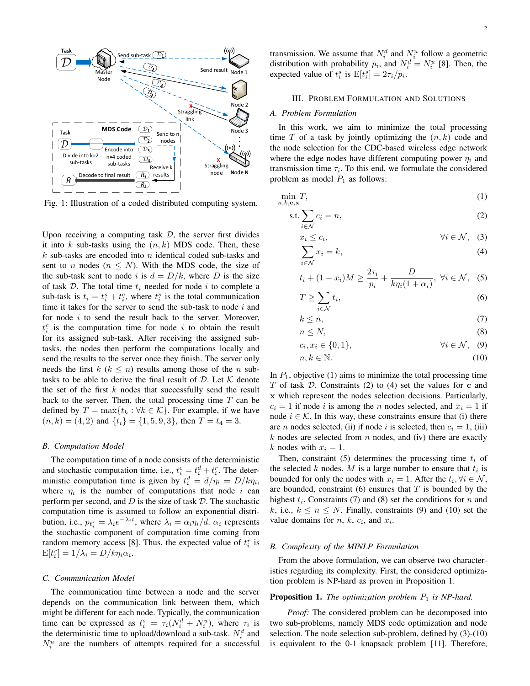

Fig. 1: Illustration of a coded distributed computing system.

Upon receiving a computing task  $D$ , the server first divides it into k sub-tasks using the  $(n, k)$  MDS code. Then, these  $k$  sub-tasks are encoded into n identical coded sub-tasks and sent to *n* nodes ( $n \leq N$ ). With the MDS code, the size of the sub-task sent to node i is  $d = D/k$ , where D is the size of task  $D$ . The total time  $t_i$  needed for node i to complete a sub-task is  $t_i = t_i^s + t_i^c$ , where  $t_i^s$  is the total communication time it takes for the server to send the sub-task to node  $i$  and for node i to send the result back to the server. Moreover,  $t_i^c$  is the computation time for node i to obtain the result for its assigned sub-task. After receiving the assigned subtasks, the nodes then perform the computations locally and send the results to the server once they finish. The server only needs the first  $k$  ( $k \leq n$ ) results among those of the *n* subtasks to be able to derive the final result of  $D$ . Let  $K$  denote the set of the first  $k$  nodes that successfully send the result back to the server. Then, the total processing time  $T$  can be defined by  $T = \max\{t_k : \forall k \in \mathcal{K}\}\$ . For example, if we have  $(n, k) = (4, 2)$  and  $\{t_i\} = \{1, 5, 9, 3\}$ , then  $T = t_4 = 3$ .

#### *B. Computation Model*

The computation time of a node consists of the deterministic and stochastic computation time, i.e.,  $t_i^c = t_i^d + t_i^r$ . The deterministic computation time is given by  $t_i^d = d/\eta_i = D/k\eta_i$ , where  $\eta_i$  is the number of computations that node i can perform per second, and  $D$  is the size of task  $D$ . The stochastic computation time is assumed to follow an exponential distribution, i.e.,  $p_{t_i^r} = \lambda_i e^{-\lambda_i t}$ , where  $\lambda_i = \alpha_i \eta_i / d$ .  $\alpha_i$  represents the stochastic component of computation time coming from random memory access [\[8\]](#page-3-6). Thus, the expected value of  $t_i^r$  is  $E[t_i^r] = 1/\lambda_i = D/k\eta_i\alpha_i.$ 

#### *C. Communication Model*

The communication time between a node and the server depends on the communication link between them, which might be different for each node. Typically, the communication time can be expressed as  $t_i^s = \tau_i (N_i^d + N_i^u)$ , where  $\tau_i$  is the deterministic time to upload/download a sub-task.  $N_i^d$  and  $N_i^u$  are the numbers of attempts required for a successful transmission. We assume that  $N_i^d$  and  $N_i^u$  follow a geometric distribution with probability  $p_i$ , and  $N_i^d = N_i^u$  [\[8\]](#page-3-6). Then, the expected value of  $t_i^s$  is  $E[t_i^s] = 2\tau_i/p_i$ .

# III. PROBLEM FORMULATION AND SOLUTIONS

# *A. Problem Formulation*

In this work, we aim to minimize the total processing time  $T$  of a task by jointly optimizing the  $(n, k)$  code and the node selection for the CDC-based wireless edge network where the edge nodes have different computing power  $\eta_i$  and transmission time  $\tau_i$ . To this end, we formulate the considered problem as model  $P_1$  as follows:

$$
\min_{n,k,\mathbf{c},\mathbf{x}} T,\tag{1}
$$

$$
\text{s.t.} \sum_{i \in \mathcal{N}} c_i = n,\tag{2}
$$

<span id="page-1-1"></span><span id="page-1-0"></span>
$$
x_i \le c_i, \qquad \forall i \in \mathcal{N}, \quad (3)
$$

<span id="page-1-9"></span><span id="page-1-3"></span><span id="page-1-2"></span>
$$
\sum_{i \in \mathcal{N}} x_i = k,\tag{4}
$$

$$
t_i + (1 - x_i)M \ge \frac{2\tau_i}{p_i} + \frac{D}{k\eta_i(1 + \alpha_i)}, \ \forall i \in \mathcal{N}, \tag{5}
$$

<span id="page-1-5"></span><span id="page-1-4"></span>
$$
T \ge \sum_{i \in \mathcal{N}} t_i,\tag{6}
$$

$$
k \leq n,\tag{7}
$$

<span id="page-1-6"></span>
$$
n \le N,\tag{8}
$$

<span id="page-1-7"></span>
$$
c_i, x_i \in \{0, 1\}, \qquad \forall i \in \mathcal{N}, \quad (9)
$$

<span id="page-1-8"></span>
$$
n, k \in \mathbb{N}.\tag{10}
$$

In  $P_1$ , objective [\(1\)](#page-1-0) aims to minimize the total processing time  $T$  of task  $D$ . Constraints [\(2\)](#page-1-1) to [\(4\)](#page-1-2) set the values for  $c$  and x which represent the nodes selection decisions. Particularly,  $c_i = 1$  if node i is among the n nodes selected, and  $x_i = 1$  if node  $i \in \mathcal{K}$ . In this way, these constraints ensure that (i) there are *n* nodes selected, (ii) if node *i* is selected, then  $c_i = 1$ , (iii)  $k$  nodes are selected from  $n$  nodes, and (iv) there are exactly k nodes with  $x_i = 1$ .

Then, constraint [\(5\)](#page-1-3) determines the processing time  $t_i$  of the selected k nodes. M is a large number to ensure that  $t_i$  is bounded for only the nodes with  $x_i = 1$ . After the  $t_i, \forall i \in \mathcal{N}$ , are bounded, constraint  $(6)$  ensures that T is bounded by the highest  $t_i$ . Constraints [\(7\)](#page-1-5) and [\(8\)](#page-1-6) set the conditions for n and k, i.e.,  $k \leq n \leq N$ . Finally, constraints [\(9\)](#page-1-7) and [\(10\)](#page-1-8) set the value domains for  $n, k, c_i$ , and  $x_i$ .

### *B. Complexity of the MINLP Formulation*

From the above formulation, we can observe two characteristics regarding its complexity. First, the considered optimization problem is NP-hard as proven in Proposition 1.

# Proposition 1. *The optimization problem*  $P_1$  *is NP-hard.*

*Proof:* The considered problem can be decomposed into two sub-problems, namely MDS code optimization and node selection. The node selection sub-problem, defined by [\(3\)](#page-1-9)-[\(10\)](#page-1-8) is equivalent to the 0-1 knapsack problem [\[11\]](#page-3-7). Therefore,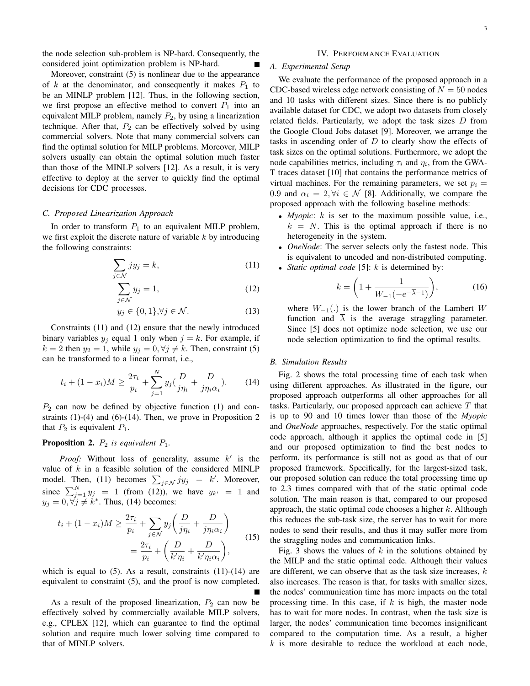the node selection sub-problem is NP-hard. Consequently, the considered joint optimization problem is NP-hard.

Moreover, constraint [\(5\)](#page-1-3) is nonlinear due to the appearance of  $k$  at the denominator, and consequently it makes  $P_1$  to be an MINLP problem [\[12\]](#page-3-8). Thus, in the following section, we first propose an effective method to convert  $P_1$  into an equivalent MILP problem, namely  $P_2$ , by using a linearization technique. After that,  $P_2$  can be effectively solved by using commercial solvers. Note that many commercial solvers can find the optimal solution for MILP problems. Moreover, MILP solvers usually can obtain the optimal solution much faster than those of the MINLP solvers [\[12\]](#page-3-8). As a result, it is very effective to deploy at the server to quickly find the optimal decisions for CDC processes.

### *C. Proposed Linearization Approach*

In order to transform  $P_1$  to an equivalent MILP problem, we first exploit the discrete nature of variable  $k$  by introducing the following constraints:

$$
\sum_{j \in \mathcal{N}} jy_j = k,\tag{11}
$$

$$
\sum_{j \in \mathcal{N}} y_j = 1,\tag{12}
$$

$$
y_j \in \{0, 1\}, \forall j \in \mathcal{N}.\tag{13}
$$

Constraints [\(11\)](#page-2-0) and [\(12\)](#page-2-1) ensure that the newly introduced binary variables  $y_j$  equal 1 only when  $j = k$ . For example, if  $k = 2$  then  $y_2 = 1$ , while  $y_j = 0, \forall j \neq k$ . Then, constraint [\(5\)](#page-1-3) can be transformed to a linear format, i.e.,

<span id="page-2-2"></span>
$$
t_i + (1 - x_i)M \ge \frac{2\tau_i}{p_i} + \sum_{j=1}^{N} y_j \left(\frac{D}{j\eta_i} + \frac{D}{j\eta_i \alpha_i}\right). \tag{14}
$$

 $P_2$  can now be defined by objective function [\(1\)](#page-1-0) and constraints  $(1)-(4)$  $(1)-(4)$  $(1)-(4)$  and  $(6)-(14)$  $(6)-(14)$  $(6)-(14)$ . Then, we prove in Proposition 2 that  $P_2$  is equivalent  $P_1$ .

# **Proposition 2.**  $P_2$  *is equivalent*  $P_1$ *.*

*Proof:* Without loss of generality, assume  $k'$  is the value of  $k$  in a feasible solution of the considered MINLP model. Then, [\(11\)](#page-2-0) becomes  $\sum_{j \in \mathcal{N}} j y_j = k'$ . Moreover, since  $\sum_{j=1}^{N} y_j = 1$  (from [\(12\)](#page-2-1)), we have  $y_{k'} = 1$  and  $y_j = 0, \forall j \neq k^*$ . Thus, [\(14\)](#page-2-2) becomes:

$$
t_i + (1 - x_i)M \ge \frac{2\tau_i}{p_i} + \sum_{j \in \mathcal{N}} y_j \left( \frac{D}{j\eta_i} + \frac{D}{j\eta_i \alpha_i} \right)
$$
  
= 
$$
\frac{2\tau_i}{p_i} + \left( \frac{D}{k'\eta_i} + \frac{D}{k'\eta_i \alpha_i} \right),
$$
 (15)

which is equal to  $(5)$ . As a result, constraints  $(11)-(14)$  $(11)-(14)$  $(11)-(14)$  are equivalent to constraint [\(5\)](#page-1-3), and the proof is now completed.

As a result of the proposed linearization,  $P_2$  can now be effectively solved by commercially available MILP solvers, e.g., CPLEX [\[12\]](#page-3-8), which can guarantee to find the optimal solution and require much lower solving time compared to that of MINLP solvers.

#### IV. PERFORMANCE EVALUATION

# *A. Experimental Setup*

We evaluate the performance of the proposed approach in a CDC-based wireless edge network consisting of  $N = 50$  nodes and 10 tasks with different sizes. Since there is no publicly available dataset for CDC, we adopt two datasets from closely related fields. Particularly, we adopt the task sizes D from the Google Cloud Jobs dataset [\[9\]](#page-3-9). Moreover, we arrange the tasks in ascending order of  $D$  to clearly show the effects of task sizes on the optimal solutions. Furthermore, we adopt the node capabilities metrics, including  $\tau_i$  and  $\eta_i$ , from the GWA-T traces dataset [\[10\]](#page-3-10) that contains the performance metrics of virtual machines. For the remaining parameters, we set  $p_i =$ 0.9 and  $\alpha_i = 2, \forall i \in \mathcal{N}$  [\[8\]](#page-3-6). Additionally, we compare the proposed approach with the following baseline methods:

- *Myopic*: k is set to the maximum possible value, i.e.,  $k = N$ . This is the optimal approach if there is no heterogeneity in the system.
- <span id="page-2-0"></span>• *OneNode*: The server selects only the fastest node. This is equivalent to uncoded and non-distributed computing.
- <span id="page-2-1"></span>• *Static optimal code* [\[5\]](#page-3-4): k is determined by:

$$
k = \left(1 + \frac{1}{W_{-1}(-e^{-\overline{\lambda}-1})}\right),\tag{16}
$$

where  $W_{-1}(.)$  is the lower branch of the Lambert W function and  $\overline{\lambda}$  is the average straggling parameter. Since [\[5\]](#page-3-4) does not optimize node selection, we use our node selection optimization to find the optimal results.

# *B. Simulation Results*

Fig. [2](#page-3-11) shows the total processing time of each task when using different approaches. As illustrated in the figure, our proposed approach outperforms all other approaches for all tasks. Particularly, our proposed approach can achieve T that is up to 90 and 10 times lower than those of the *Myopic* and *OneNode* approaches, respectively. For the static optimal code approach, although it applies the optimal code in [\[5\]](#page-3-4) and our proposed optimization to find the best nodes to perform, its performance is still not as good as that of our proposed framework. Specifically, for the largest-sized task, our proposed solution can reduce the total processing time up to 2.3 times compared with that of the static optimal code solution. The main reason is that, compared to our proposed approach, the static optimal code chooses a higher  $k$ . Although this reduces the sub-task size, the server has to wait for more nodes to send their results, and thus it may suffer more from the straggling nodes and communication links.

Fig. [3](#page-3-12) shows the values of  $k$  in the solutions obtained by the MILP and the static optimal code. Although their values are different, we can observe that as the task size increases,  $k$ also increases. The reason is that, for tasks with smaller sizes, the nodes' communication time has more impacts on the total processing time. In this case, if  $k$  is high, the master node has to wait for more nodes. In contrast, when the task size is larger, the nodes' communication time becomes insignificant compared to the computation time. As a result, a higher  $k$  is more desirable to reduce the workload at each node,